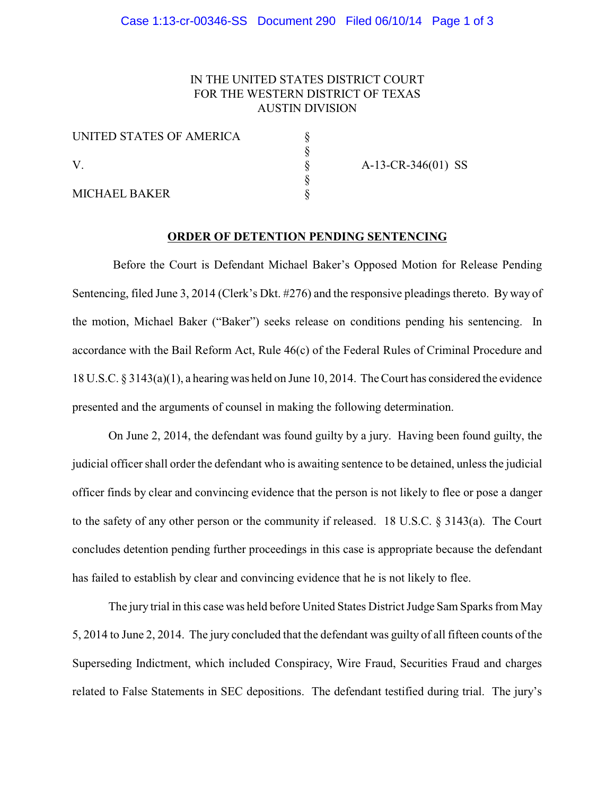# IN THE UNITED STATES DISTRICT COURT FOR THE WESTERN DISTRICT OF TEXAS AUSTIN DIVISION

| UNITED STATES OF AMERICA |  |
|--------------------------|--|
| V                        |  |
|                          |  |
|                          |  |
| <b>MICHAEL BAKER</b>     |  |

 $A-13-CR-346(01)$  SS

#### **ORDER OF DETENTION PENDING SENTENCING**

Before the Court is Defendant Michael Baker's Opposed Motion for Release Pending Sentencing, filed June 3, 2014 (Clerk's Dkt. #276) and the responsive pleadings thereto. By way of the motion, Michael Baker ("Baker") seeks release on conditions pending his sentencing. In accordance with the Bail Reform Act, Rule 46(c) of the Federal Rules of Criminal Procedure and 18 U.S.C. § 3143(a)(1), a hearing was held on June 10, 2014. The Court has considered the evidence presented and the arguments of counsel in making the following determination.

On June 2, 2014, the defendant was found guilty by a jury. Having been found guilty, the judicial officer shall order the defendant who is awaiting sentence to be detained, unless the judicial officer finds by clear and convincing evidence that the person is not likely to flee or pose a danger to the safety of any other person or the community if released. 18 U.S.C. § 3143(a). The Court concludes detention pending further proceedings in this case is appropriate because the defendant has failed to establish by clear and convincing evidence that he is not likely to flee.

The jury trial in this case was held before United States District Judge Sam Sparks from May 5, 2014 to June 2, 2014. The jury concluded that the defendant was guilty of all fifteen counts of the Superseding Indictment, which included Conspiracy, Wire Fraud, Securities Fraud and charges related to False Statements in SEC depositions. The defendant testified during trial. The jury's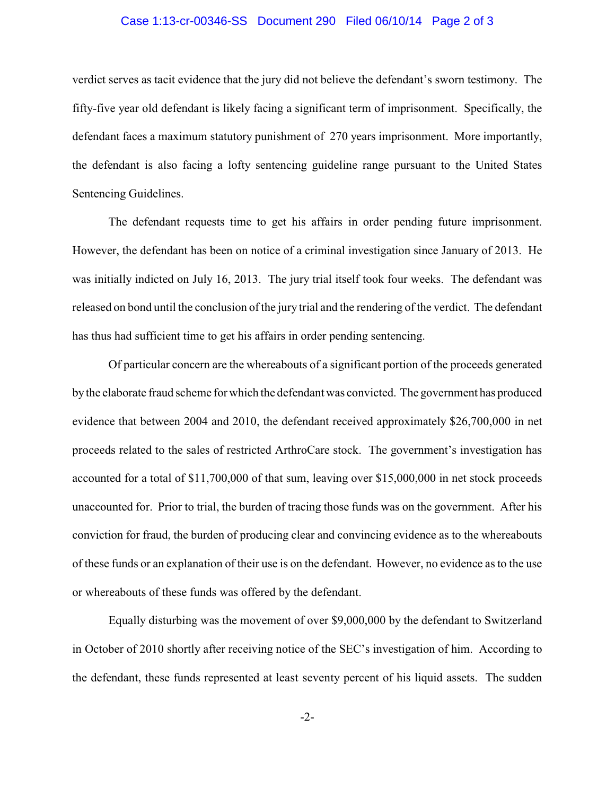# Case 1:13-cr-00346-SS Document 290 Filed 06/10/14 Page 2 of 3

verdict serves as tacit evidence that the jury did not believe the defendant's sworn testimony. The fifty-five year old defendant is likely facing a significant term of imprisonment. Specifically, the defendant faces a maximum statutory punishment of 270 years imprisonment. More importantly, the defendant is also facing a lofty sentencing guideline range pursuant to the United States Sentencing Guidelines.

The defendant requests time to get his affairs in order pending future imprisonment. However, the defendant has been on notice of a criminal investigation since January of 2013. He was initially indicted on July 16, 2013. The jury trial itself took four weeks. The defendant was released on bond until the conclusion of the jury trial and the rendering of the verdict. The defendant has thus had sufficient time to get his affairs in order pending sentencing.

Of particular concern are the whereabouts of a significant portion of the proceeds generated bythe elaborate fraud scheme for which the defendant was convicted. The government has produced evidence that between 2004 and 2010, the defendant received approximately \$26,700,000 in net proceeds related to the sales of restricted ArthroCare stock. The government's investigation has accounted for a total of \$11,700,000 of that sum, leaving over \$15,000,000 in net stock proceeds unaccounted for. Prior to trial, the burden of tracing those funds was on the government. After his conviction for fraud, the burden of producing clear and convincing evidence as to the whereabouts of these funds or an explanation of their use is on the defendant. However, no evidence as to the use or whereabouts of these funds was offered by the defendant.

Equally disturbing was the movement of over \$9,000,000 by the defendant to Switzerland in October of 2010 shortly after receiving notice of the SEC's investigation of him. According to the defendant, these funds represented at least seventy percent of his liquid assets. The sudden